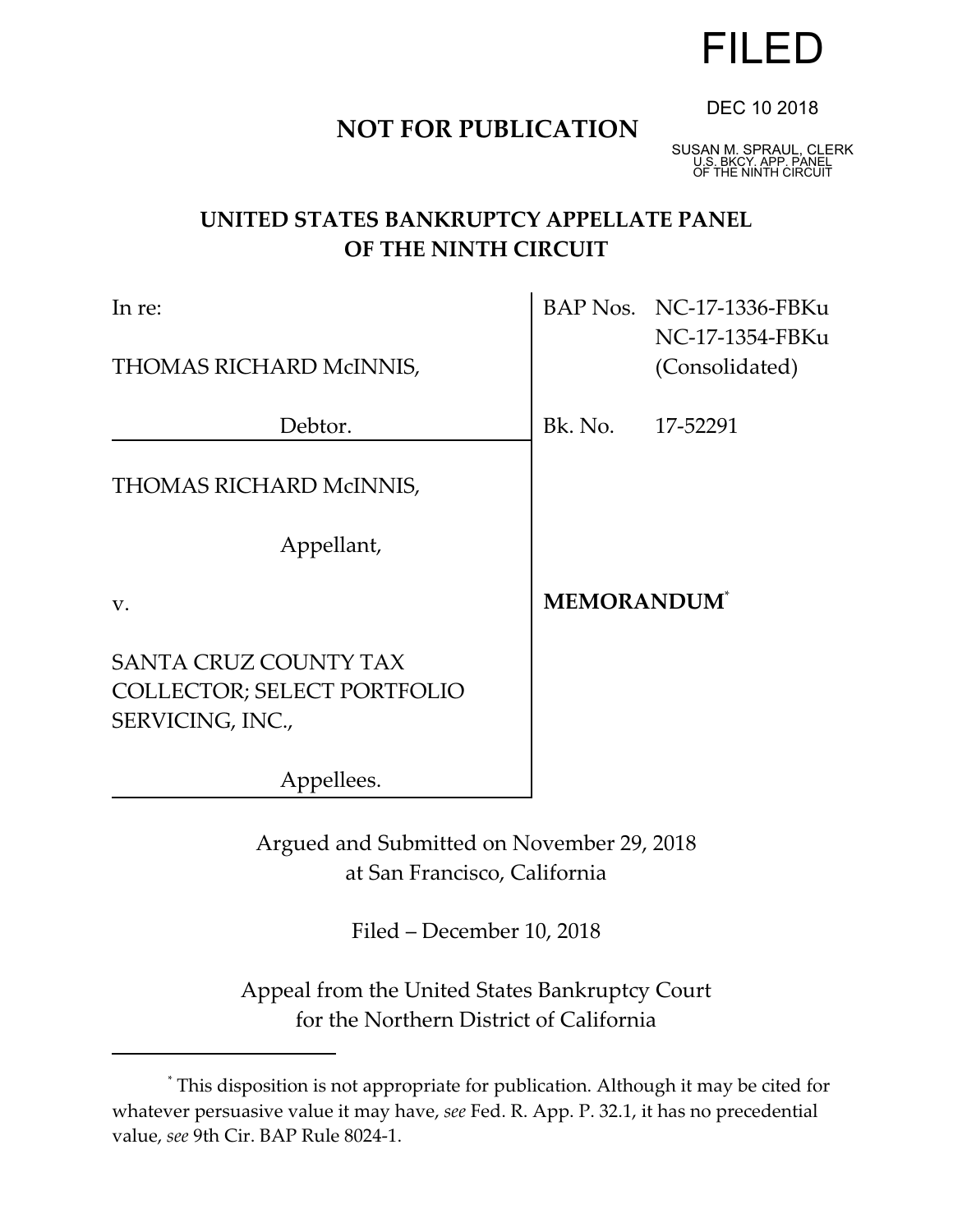# FILED

DEC 10 2018

# **NOT FOR PUBLICATION**

SUSAN M. SPRAUL, CLERK U.S. BKCY. APP. PANEL OF THE NINTH CIRCUIT

# **UNITED STATES BANKRUPTCY APPELLATE PANEL OF THE NINTH CIRCUIT**

| In re:                                                                                 |                                | BAP Nos. NC-17-1336-FBKu<br>NC-17-1354-FBKu |
|----------------------------------------------------------------------------------------|--------------------------------|---------------------------------------------|
| THOMAS RICHARD McINNIS,                                                                |                                | (Consolidated)                              |
| Debtor.                                                                                | Bk. No. 17-52291               |                                             |
| THOMAS RICHARD McINNIS,                                                                |                                |                                             |
| Appellant,                                                                             |                                |                                             |
| $V_{\cdot}$                                                                            | <b>MEMORANDUM</b> <sup>*</sup> |                                             |
| <b>SANTA CRUZ COUNTY TAX</b><br><b>COLLECTOR; SELECT PORTFOLIO</b><br>SERVICING, INC., |                                |                                             |
| Appellees.                                                                             |                                |                                             |
|                                                                                        |                                |                                             |

Argued and Submitted on November 29, 2018 at San Francisco, California

Filed – December 10, 2018

Appeal from the United States Bankruptcy Court for the Northern District of California

<sup>\*</sup> This disposition is not appropriate for publication. Although it may be cited for whatever persuasive value it may have, *see* Fed. R. App. P. 32.1, it has no precedential value, *see* 9th Cir. BAP Rule 8024-1.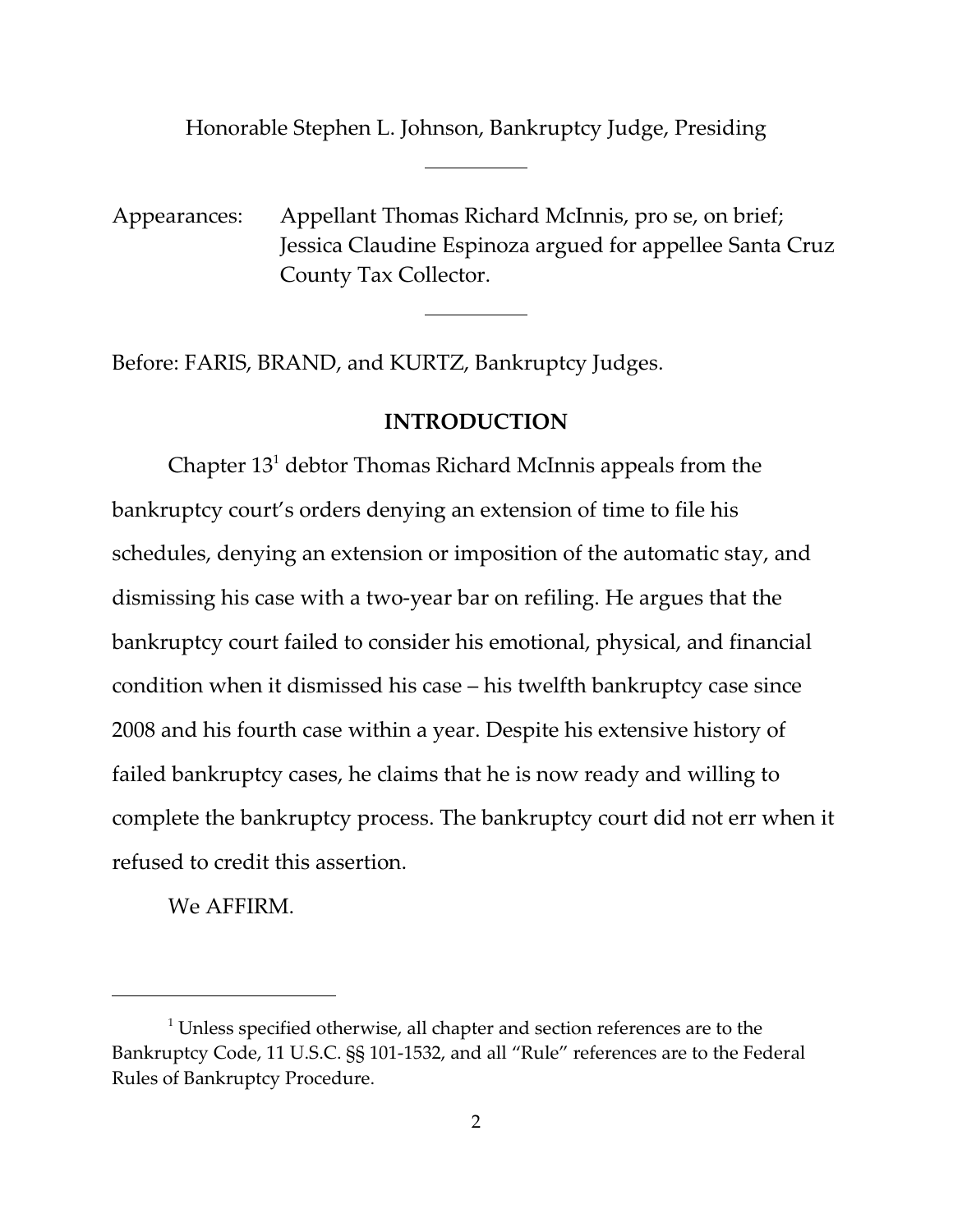Honorable Stephen L. Johnson, Bankruptcy Judge, Presiding

 $\overline{a}$ 

 $\overline{a}$ 

Appearances: Appellant Thomas Richard McInnis, pro se, on brief; Jessica Claudine Espinoza argued for appellee Santa Cruz County Tax Collector.

Before: FARIS, BRAND, and KURTZ, Bankruptcy Judges.

## **INTRODUCTION**

Chapter  $13^1$  debtor Thomas Richard McInnis appeals from the bankruptcy court's orders denying an extension of time to file his schedules, denying an extension or imposition of the automatic stay, and dismissing his case with a two-year bar on refiling. He argues that the bankruptcy court failed to consider his emotional, physical, and financial condition when it dismissed his case – his twelfth bankruptcy case since 2008 and his fourth case within a year. Despite his extensive history of failed bankruptcy cases, he claims that he is now ready and willing to complete the bankruptcy process. The bankruptcy court did not err when it refused to credit this assertion.

We AFFIRM.

 $1$  Unless specified otherwise, all chapter and section references are to the Bankruptcy Code, 11 U.S.C. §§ 101-1532, and all "Rule" references are to the Federal Rules of Bankruptcy Procedure.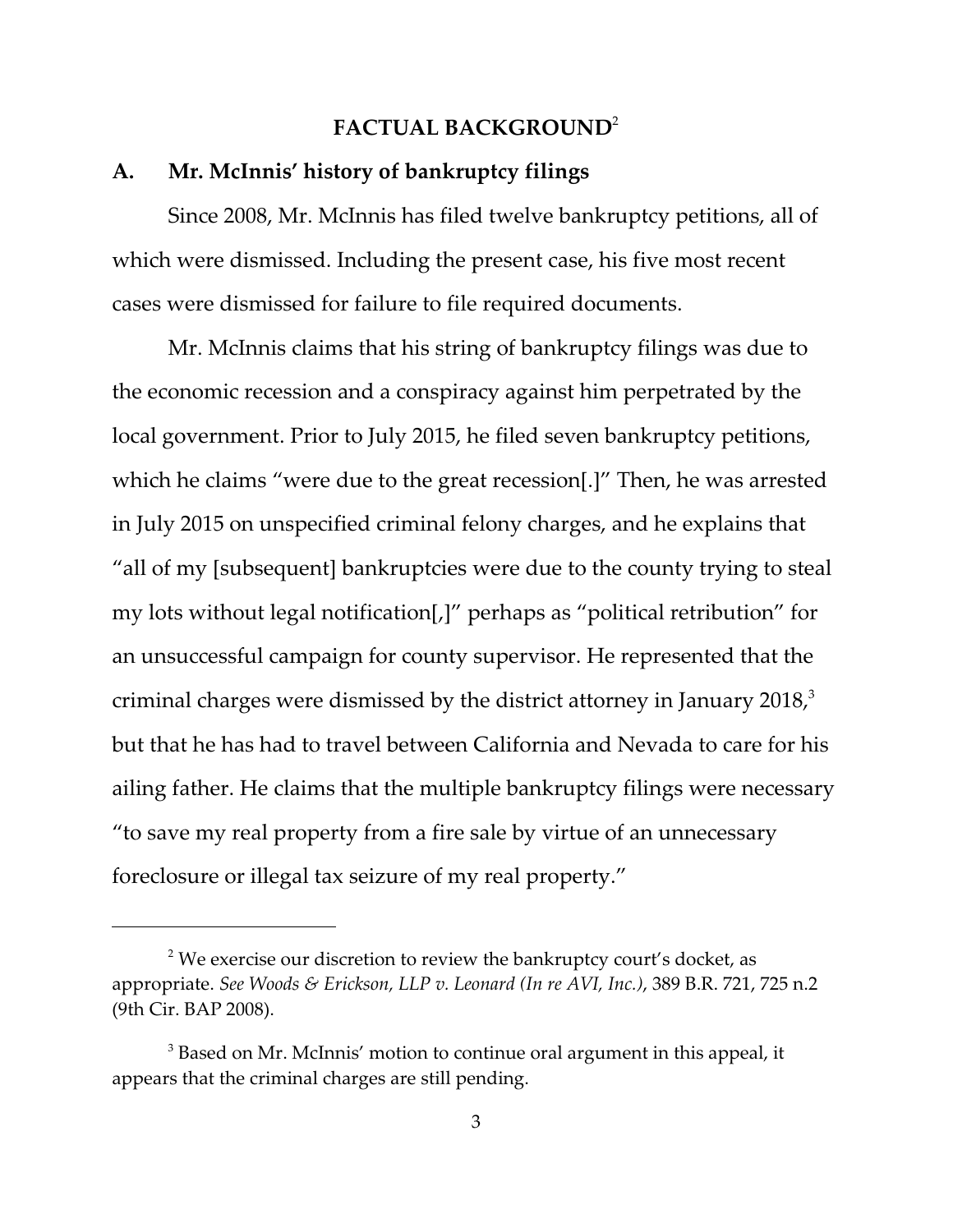#### **FACTUAL BACKGROUND**<sup>2</sup>

#### **A. Mr. McInnis' history of bankruptcy filings**

Since 2008, Mr. McInnis has filed twelve bankruptcy petitions, all of which were dismissed. Including the present case, his five most recent cases were dismissed for failure to file required documents.

Mr. McInnis claims that his string of bankruptcy filings was due to the economic recession and a conspiracy against him perpetrated by the local government. Prior to July 2015, he filed seven bankruptcy petitions, which he claims "were due to the great recession.]" Then, he was arrested in July 2015 on unspecified criminal felony charges, and he explains that "all of my [subsequent] bankruptcies were due to the county trying to steal my lots without legal notification[,]" perhaps as "political retribution" for an unsuccessful campaign for county supervisor. He represented that the criminal charges were dismissed by the district attorney in January 2018, $3<sup>3</sup>$ but that he has had to travel between California and Nevada to care for his ailing father. He claims that the multiple bankruptcy filings were necessary "to save my real property from a fire sale by virtue of an unnecessary foreclosure or illegal tax seizure of my real property."

 $^2$  We exercise our discretion to review the bankruptcy court's docket, as appropriate. *See Woods & Erickson, LLP v. Leonard (In re AVI, Inc.)*, 389 B.R. 721, 725 n.2 (9th Cir. BAP 2008).

 $^3$  Based on Mr. McInnis' motion to continue oral argument in this appeal, it appears that the criminal charges are still pending.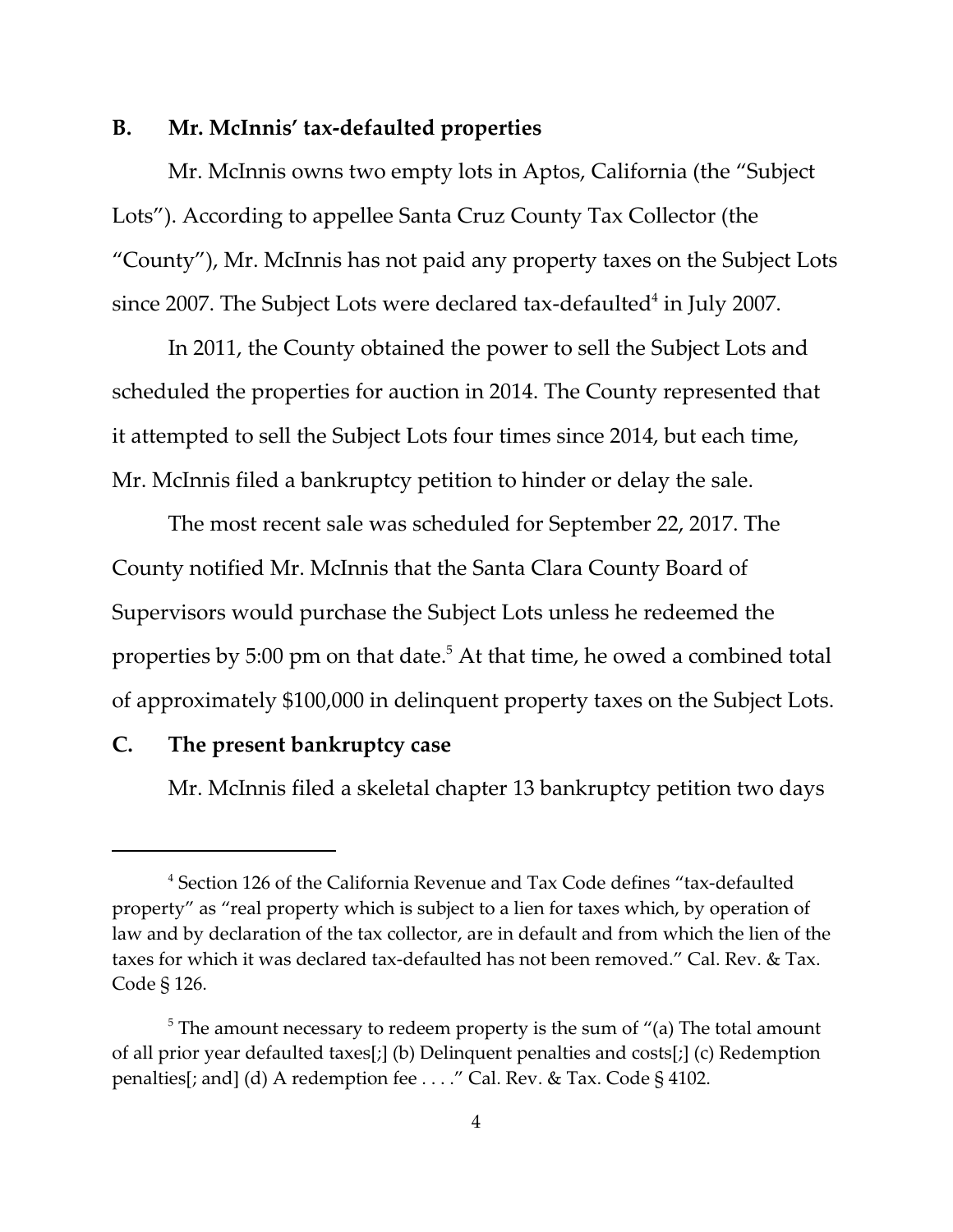#### **B. Mr. McInnis' tax-defaulted properties**

Mr. McInnis owns two empty lots in Aptos, California (the "Subject Lots"). According to appellee Santa Cruz County Tax Collector (the "County"), Mr. McInnis has not paid any property taxes on the Subject Lots since 2007. The Subject Lots were declared tax-defaulted $^4$  in July 2007.

In 2011, the County obtained the power to sell the Subject Lots and scheduled the properties for auction in 2014. The County represented that it attempted to sell the Subject Lots four times since 2014, but each time, Mr. McInnis filed a bankruptcy petition to hinder or delay the sale.

The most recent sale was scheduled for September 22, 2017. The County notified Mr. McInnis that the Santa Clara County Board of Supervisors would purchase the Subject Lots unless he redeemed the properties by 5:00 pm on that date. $^5$  At that time, he owed a combined total of approximately \$100,000 in delinquent property taxes on the Subject Lots.

#### **C. The present bankruptcy case**

Mr. McInnis filed a skeletal chapter 13 bankruptcy petition two days

<sup>&</sup>lt;sup>4</sup> Section 126 of the California Revenue and Tax Code defines "tax-defaulted property" as "real property which is subject to a lien for taxes which, by operation of law and by declaration of the tax collector, are in default and from which the lien of the taxes for which it was declared tax-defaulted has not been removed." Cal. Rev. & Tax. Code § 126.

 $^5$  The amount necessary to redeem property is the sum of "(a) The total amount of all prior year defaulted taxes[;] (b) Delinquent penalties and costs[;] (c) Redemption penalties[; and] (d) A redemption fee . . . ." Cal. Rev. & Tax. Code § 4102.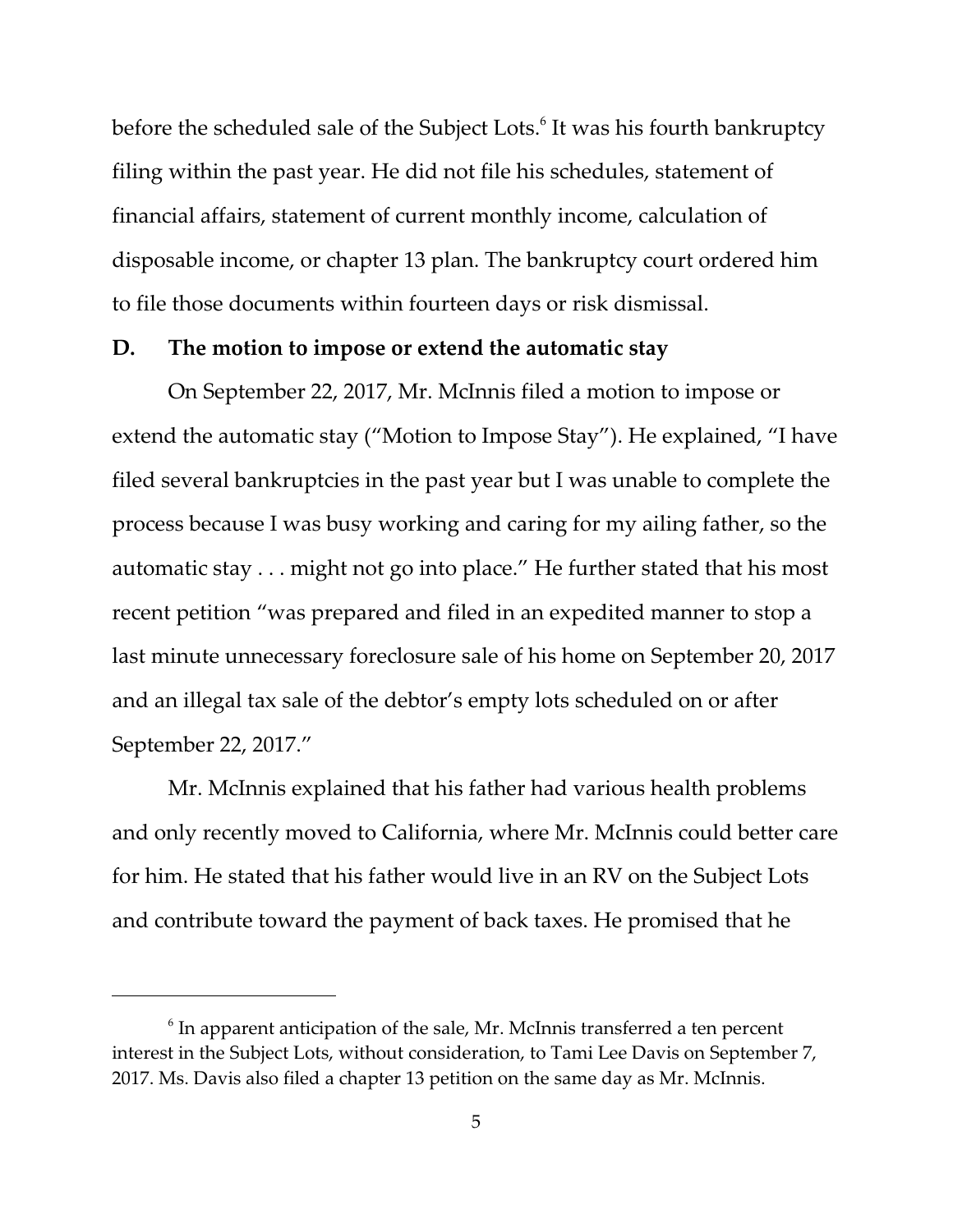before the scheduled sale of the Subject Lots. $^{\rm 6}$  It was his fourth bankruptcy filing within the past year. He did not file his schedules, statement of financial affairs, statement of current monthly income, calculation of disposable income, or chapter 13 plan. The bankruptcy court ordered him to file those documents within fourteen days or risk dismissal.

#### **D. The motion to impose or extend the automatic stay**

On September 22, 2017, Mr. McInnis filed a motion to impose or extend the automatic stay ("Motion to Impose Stay"). He explained, "I have filed several bankruptcies in the past year but I was unable to complete the process because I was busy working and caring for my ailing father, so the automatic stay . . . might not go into place." He further stated that his most recent petition "was prepared and filed in an expedited manner to stop a last minute unnecessary foreclosure sale of his home on September 20, 2017 and an illegal tax sale of the debtor's empty lots scheduled on or after September 22, 2017."

Mr. McInnis explained that his father had various health problems and only recently moved to California, where Mr. McInnis could better care for him. He stated that his father would live in an RV on the Subject Lots and contribute toward the payment of back taxes. He promised that he

 $^6$  In apparent anticipation of the sale, Mr. McInnis transferred a ten percent interest in the Subject Lots, without consideration, to Tami Lee Davis on September 7, 2017. Ms. Davis also filed a chapter 13 petition on the same day as Mr. McInnis.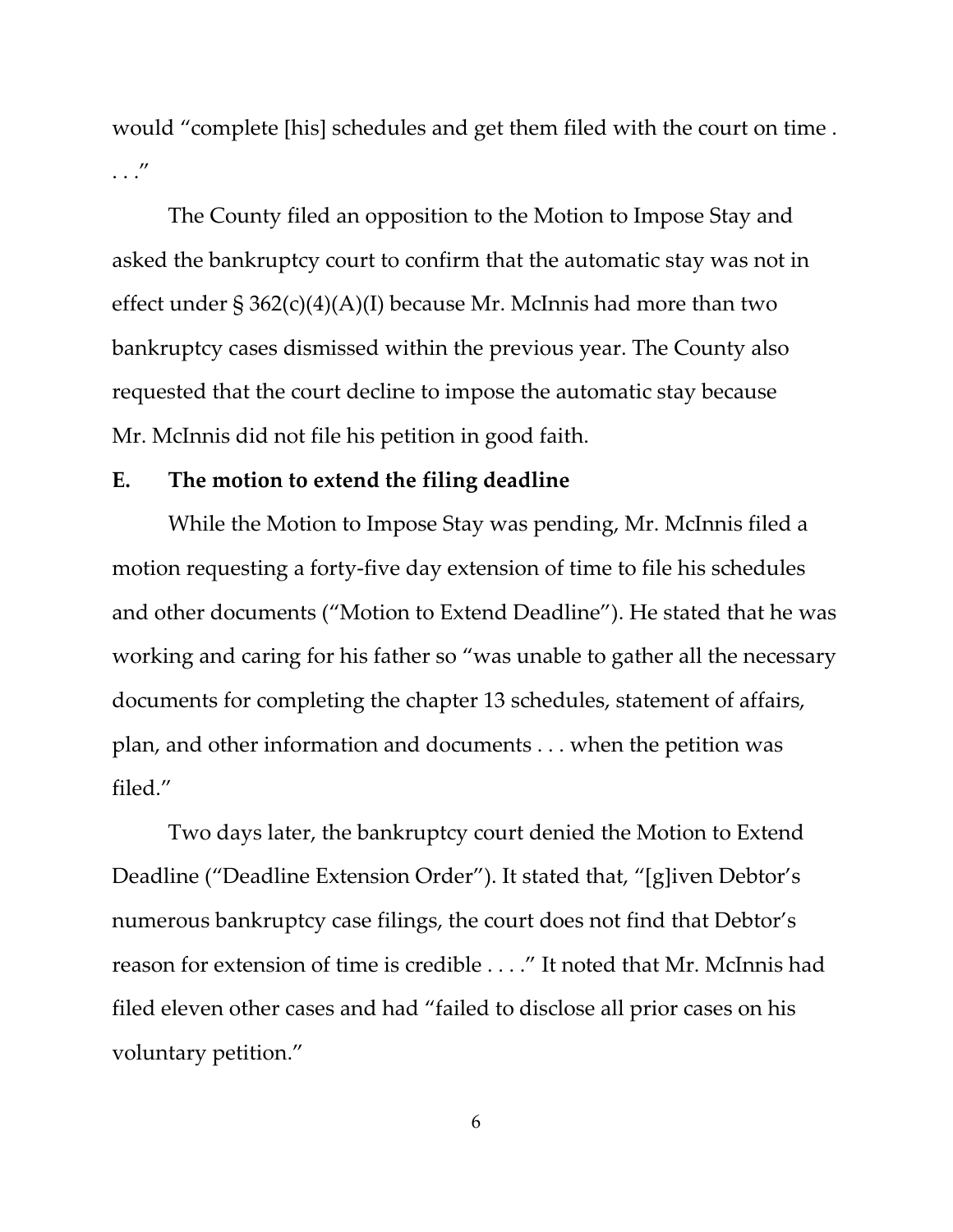would "complete [his] schedules and get them filed with the court on time . . . ."

The County filed an opposition to the Motion to Impose Stay and asked the bankruptcy court to confirm that the automatic stay was not in effect under  $\S 362(c)(4)(A)(I)$  because Mr. McInnis had more than two bankruptcy cases dismissed within the previous year. The County also requested that the court decline to impose the automatic stay because Mr. McInnis did not file his petition in good faith.

#### **E. The motion to extend the filing deadline**

While the Motion to Impose Stay was pending, Mr. McInnis filed a motion requesting a forty-five day extension of time to file his schedules and other documents ("Motion to Extend Deadline"). He stated that he was working and caring for his father so "was unable to gather all the necessary documents for completing the chapter 13 schedules, statement of affairs, plan, and other information and documents . . . when the petition was filed."

Two days later, the bankruptcy court denied the Motion to Extend Deadline ("Deadline Extension Order"). It stated that, "[g]iven Debtor's numerous bankruptcy case filings, the court does not find that Debtor's reason for extension of time is credible . . . ." It noted that Mr. McInnis had filed eleven other cases and had "failed to disclose all prior cases on his voluntary petition."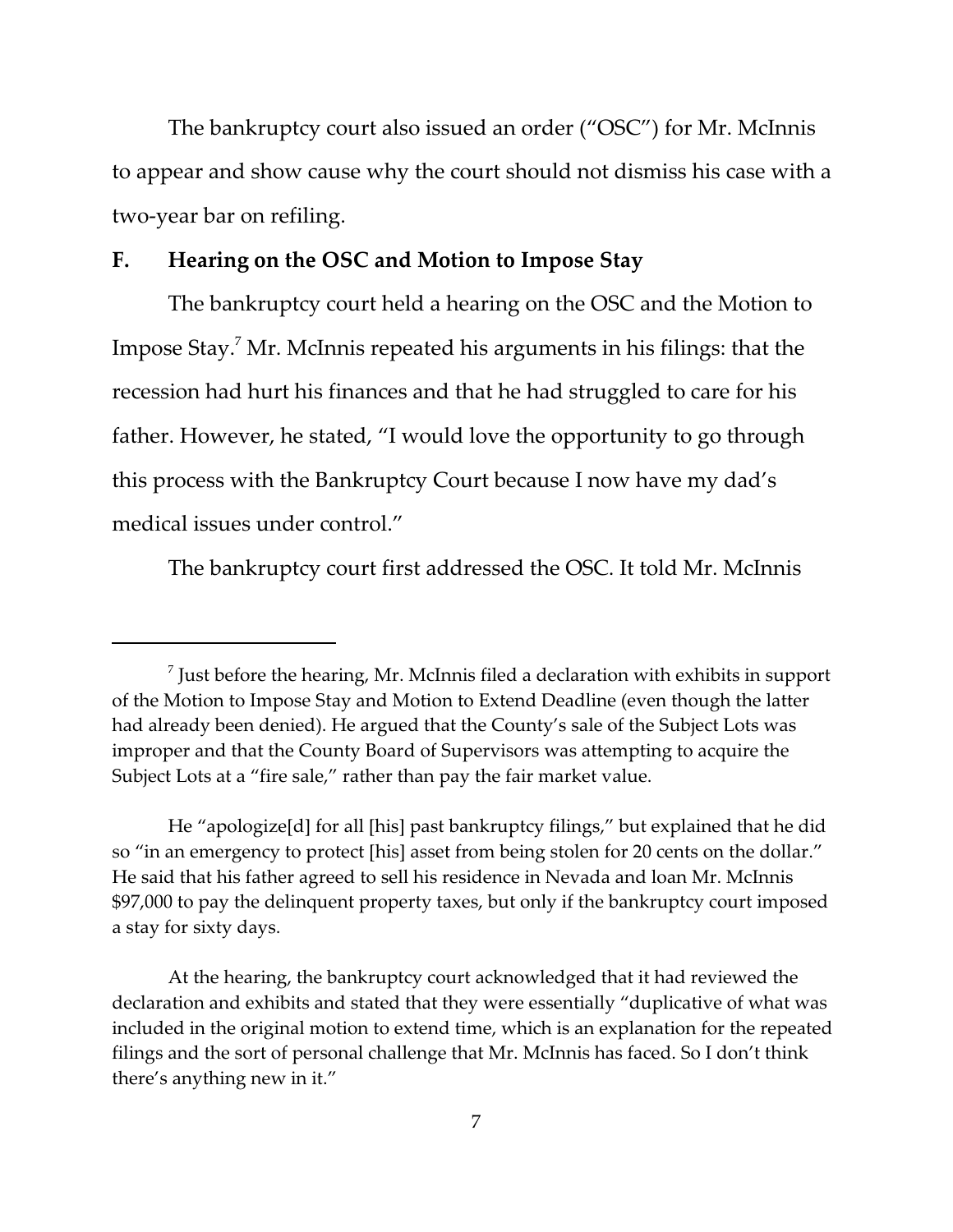The bankruptcy court also issued an order ("OSC") for Mr. McInnis to appear and show cause why the court should not dismiss his case with a two-year bar on refiling.

## **F. Hearing on the OSC and Motion to Impose Stay**

The bankruptcy court held a hearing on the OSC and the Motion to Impose Stay.<sup>7</sup> Mr. McInnis repeated his arguments in his filings: that the recession had hurt his finances and that he had struggled to care for his father. However, he stated, "I would love the opportunity to go through this process with the Bankruptcy Court because I now have my dad's medical issues under control."

The bankruptcy court first addressed the OSC. It told Mr. McInnis

 $^7$  Just before the hearing, Mr. McInnis filed a declaration with exhibits in support of the Motion to Impose Stay and Motion to Extend Deadline (even though the latter had already been denied). He argued that the County's sale of the Subject Lots was improper and that the County Board of Supervisors was attempting to acquire the Subject Lots at a "fire sale," rather than pay the fair market value.

He "apologize[d] for all [his] past bankruptcy filings," but explained that he did so "in an emergency to protect [his] asset from being stolen for 20 cents on the dollar." He said that his father agreed to sell his residence in Nevada and loan Mr. McInnis \$97,000 to pay the delinquent property taxes, but only if the bankruptcy court imposed a stay for sixty days.

At the hearing, the bankruptcy court acknowledged that it had reviewed the declaration and exhibits and stated that they were essentially "duplicative of what was included in the original motion to extend time, which is an explanation for the repeated filings and the sort of personal challenge that Mr. McInnis has faced. So I don't think there's anything new in it."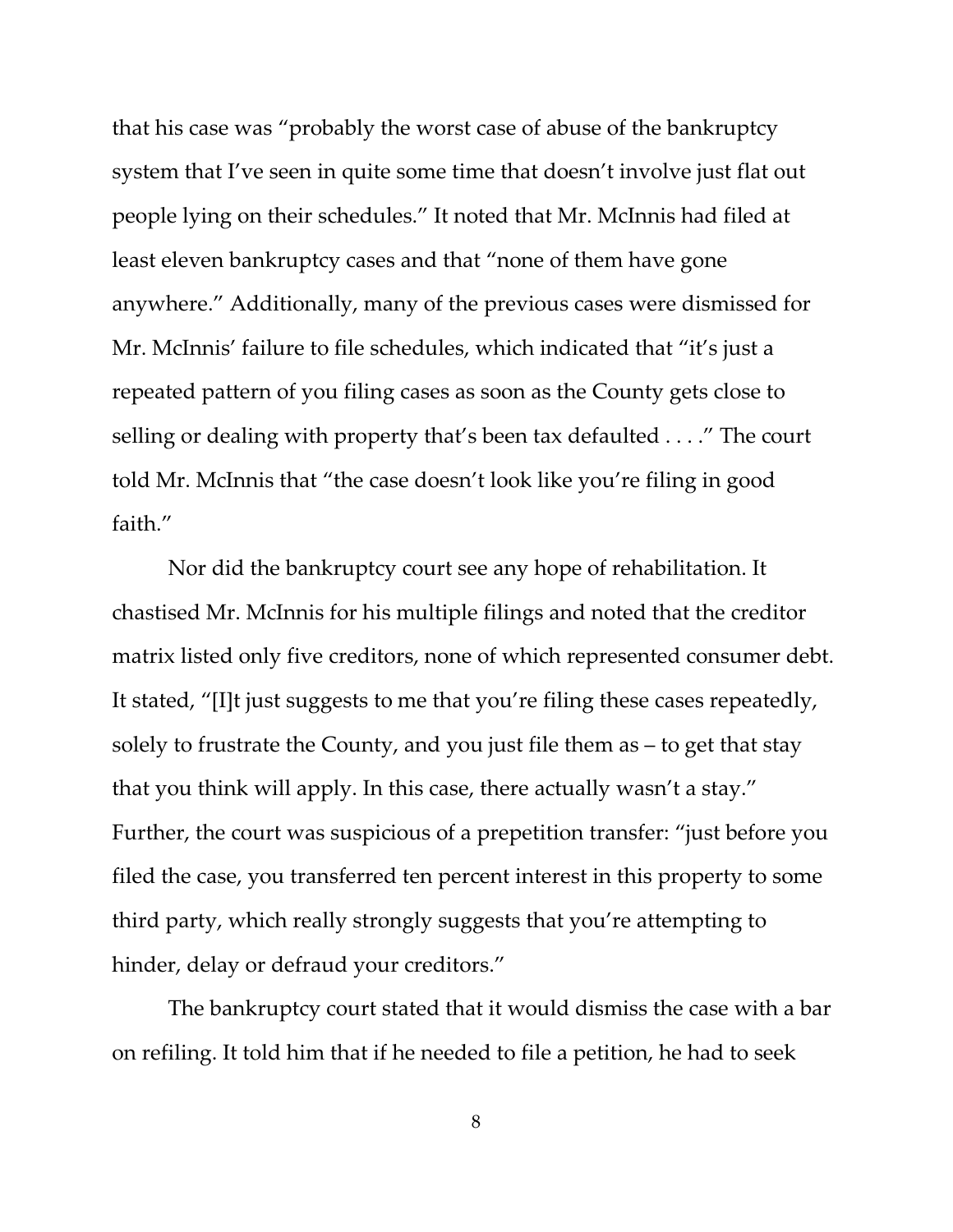that his case was "probably the worst case of abuse of the bankruptcy system that I've seen in quite some time that doesn't involve just flat out people lying on their schedules." It noted that Mr. McInnis had filed at least eleven bankruptcy cases and that "none of them have gone anywhere." Additionally, many of the previous cases were dismissed for Mr. McInnis' failure to file schedules, which indicated that "it's just a repeated pattern of you filing cases as soon as the County gets close to selling or dealing with property that's been tax defaulted . . . ." The court told Mr. McInnis that "the case doesn't look like you're filing in good faith."

Nor did the bankruptcy court see any hope of rehabilitation. It chastised Mr. McInnis for his multiple filings and noted that the creditor matrix listed only five creditors, none of which represented consumer debt. It stated, "[I]t just suggests to me that you're filing these cases repeatedly, solely to frustrate the County, and you just file them as – to get that stay that you think will apply. In this case, there actually wasn't a stay." Further, the court was suspicious of a prepetition transfer: "just before you filed the case, you transferred ten percent interest in this property to some third party, which really strongly suggests that you're attempting to hinder, delay or defraud your creditors."

The bankruptcy court stated that it would dismiss the case with a bar on refiling. It told him that if he needed to file a petition, he had to seek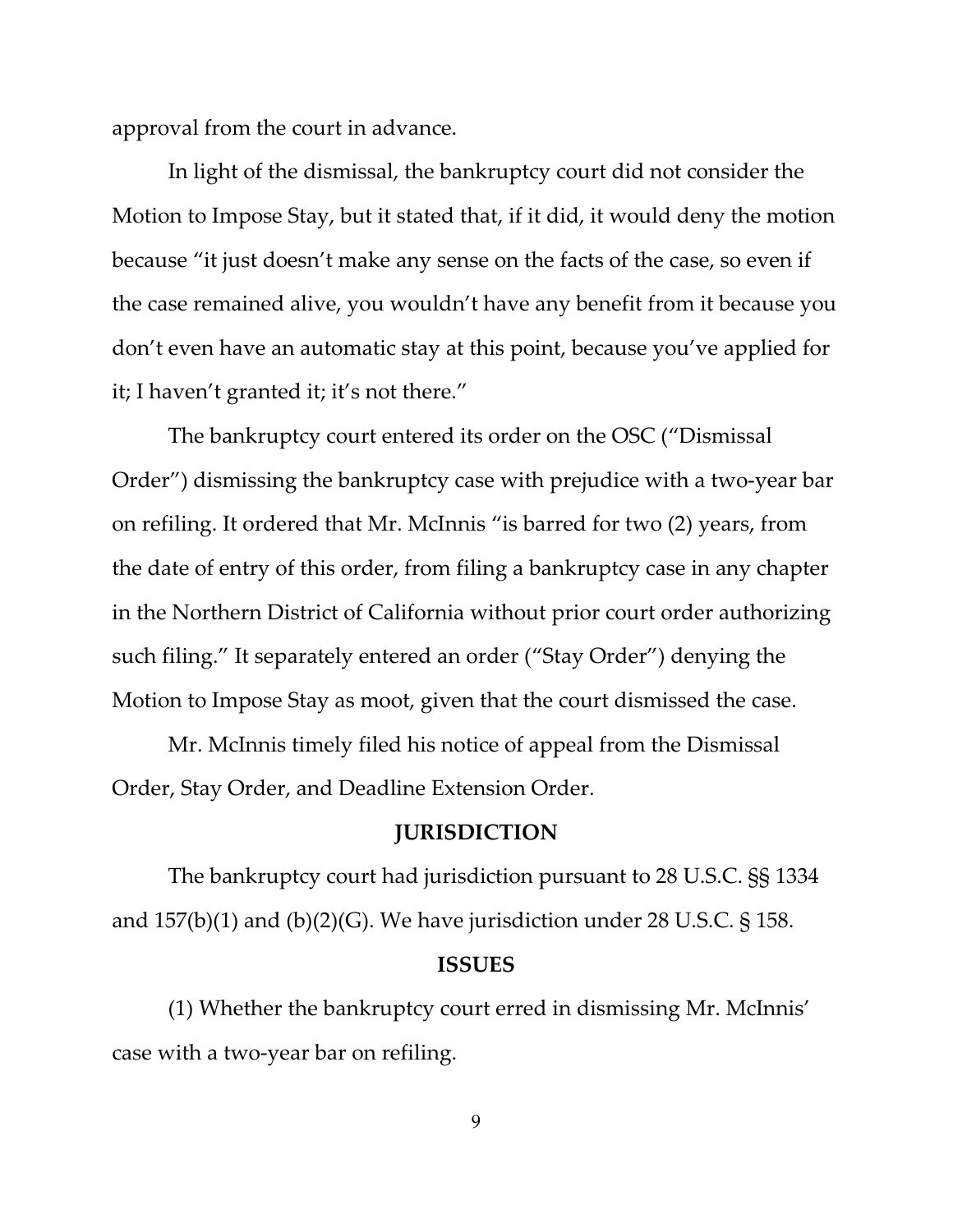approval from the court in advance.

In light of the dismissal, the bankruptcy court did not consider the Motion to Impose Stay, but it stated that, if it did, it would deny the motion because "it just doesn't make any sense on the facts of the case, so even if the case remained alive, you wouldn't have any benefit from it because you don't even have an automatic stay at this point, because you've applied for it; I haven't granted it; it's not there."

The bankruptcy court entered its order on the OSC ("Dismissal Order") dismissing the bankruptcy case with prejudice with a two-year bar on refiling. It ordered that Mr. McInnis "is barred for two (2) years, from the date of entry of this order, from filing a bankruptcy case in any chapter in the Northern District of California without prior court order authorizing such filing." It separately entered an order ("Stay Order") denying the Motion to Impose Stay as moot, given that the court dismissed the case.

Mr. McInnis timely filed his notice of appeal from the Dismissal Order, Stay Order, and Deadline Extension Order.

#### **JURISDICTION**

The bankruptcy court had jurisdiction pursuant to 28 U.S.C. §§ 1334 and  $157(b)(1)$  and  $(b)(2)(G)$ . We have jurisdiction under 28 U.S.C. § 158.

#### **ISSUES**

(1) Whether the bankruptcy court erred in dismissing Mr. McInnis' case with a two-year bar on refiling.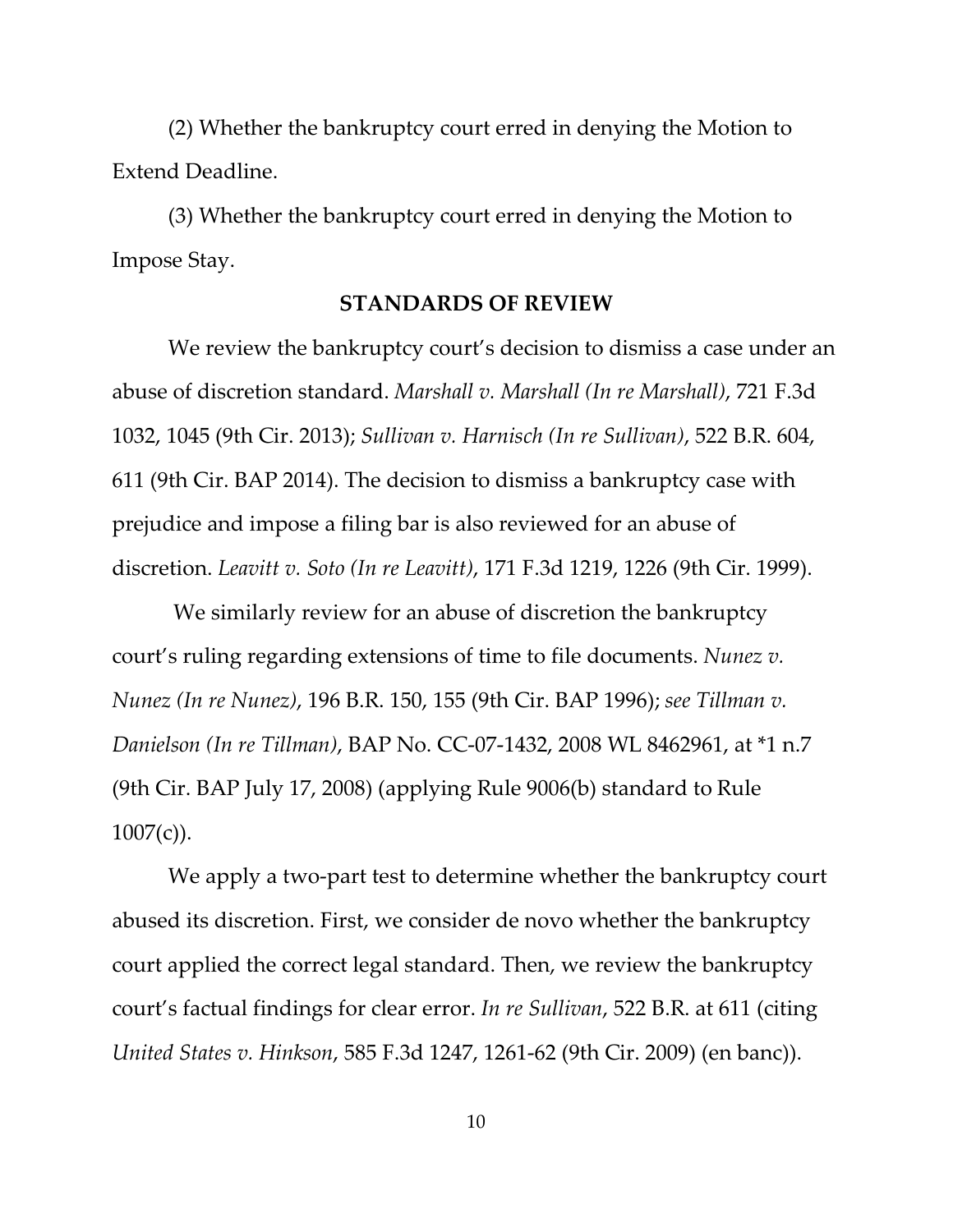(2) Whether the bankruptcy court erred in denying the Motion to Extend Deadline.

(3) Whether the bankruptcy court erred in denying the Motion to Impose Stay.

#### **STANDARDS OF REVIEW**

We review the bankruptcy court's decision to dismiss a case under an abuse of discretion standard. *Marshall v. Marshall (In re Marshall)*, 721 F.3d 1032, 1045 (9th Cir. 2013); *Sullivan v. Harnisch (In re Sullivan)*, 522 B.R. 604, 611 (9th Cir. BAP 2014). The decision to dismiss a bankruptcy case with prejudice and impose a filing bar is also reviewed for an abuse of discretion. *Leavitt v. Soto (In re Leavitt)*, 171 F.3d 1219, 1226 (9th Cir. 1999).

 We similarly review for an abuse of discretion the bankruptcy court's ruling regarding extensions of time to file documents. *Nunez v. Nunez (In re Nunez)*, 196 B.R. 150, 155 (9th Cir. BAP 1996); *see Tillman v. Danielson (In re Tillman)*, BAP No. CC-07-1432, 2008 WL 8462961, at \*1 n.7 (9th Cir. BAP July 17, 2008) (applying Rule 9006(b) standard to Rule  $1007(c)$ ).

We apply a two-part test to determine whether the bankruptcy court abused its discretion. First, we consider de novo whether the bankruptcy court applied the correct legal standard. Then, we review the bankruptcy court's factual findings for clear error. *In re Sullivan*, 522 B.R. at 611 (citing *United States v. Hinkson*, 585 F.3d 1247, 1261-62 (9th Cir. 2009) (en banc)).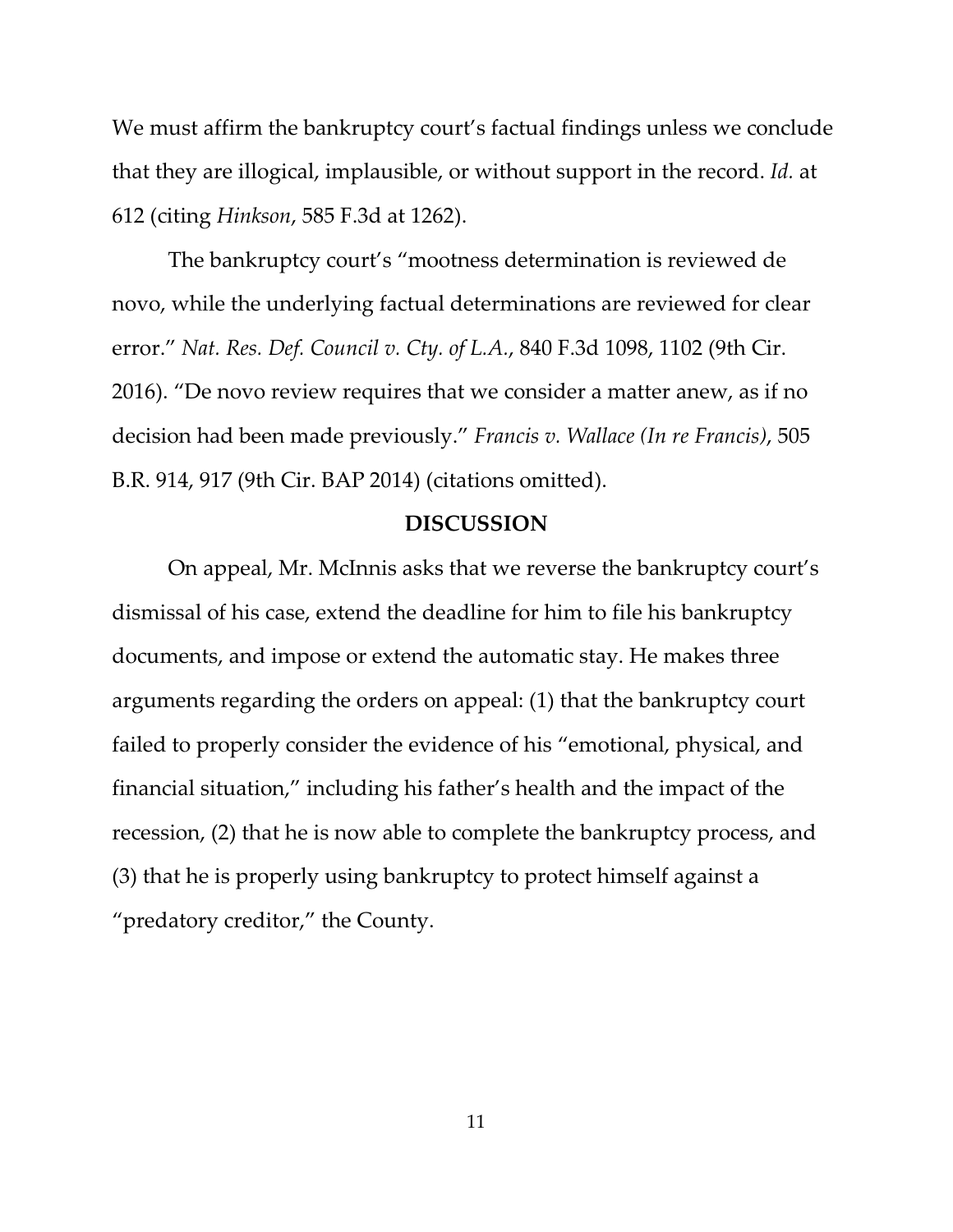We must affirm the bankruptcy court's factual findings unless we conclude that they are illogical, implausible, or without support in the record. *Id.* at 612 (citing *Hinkson*, 585 F.3d at 1262).

The bankruptcy court's "mootness determination is reviewed de novo, while the underlying factual determinations are reviewed for clear error." *Nat. Res. Def. Council v. Cty. of L.A.*, 840 F.3d 1098, 1102 (9th Cir. 2016). "De novo review requires that we consider a matter anew, as if no decision had been made previously." *Francis v. Wallace (In re Francis)*, 505 B.R. 914, 917 (9th Cir. BAP 2014) (citations omitted).

## **DISCUSSION**

On appeal, Mr. McInnis asks that we reverse the bankruptcy court's dismissal of his case, extend the deadline for him to file his bankruptcy documents, and impose or extend the automatic stay. He makes three arguments regarding the orders on appeal: (1) that the bankruptcy court failed to properly consider the evidence of his "emotional, physical, and financial situation," including his father's health and the impact of the recession, (2) that he is now able to complete the bankruptcy process, and (3) that he is properly using bankruptcy to protect himself against a "predatory creditor," the County.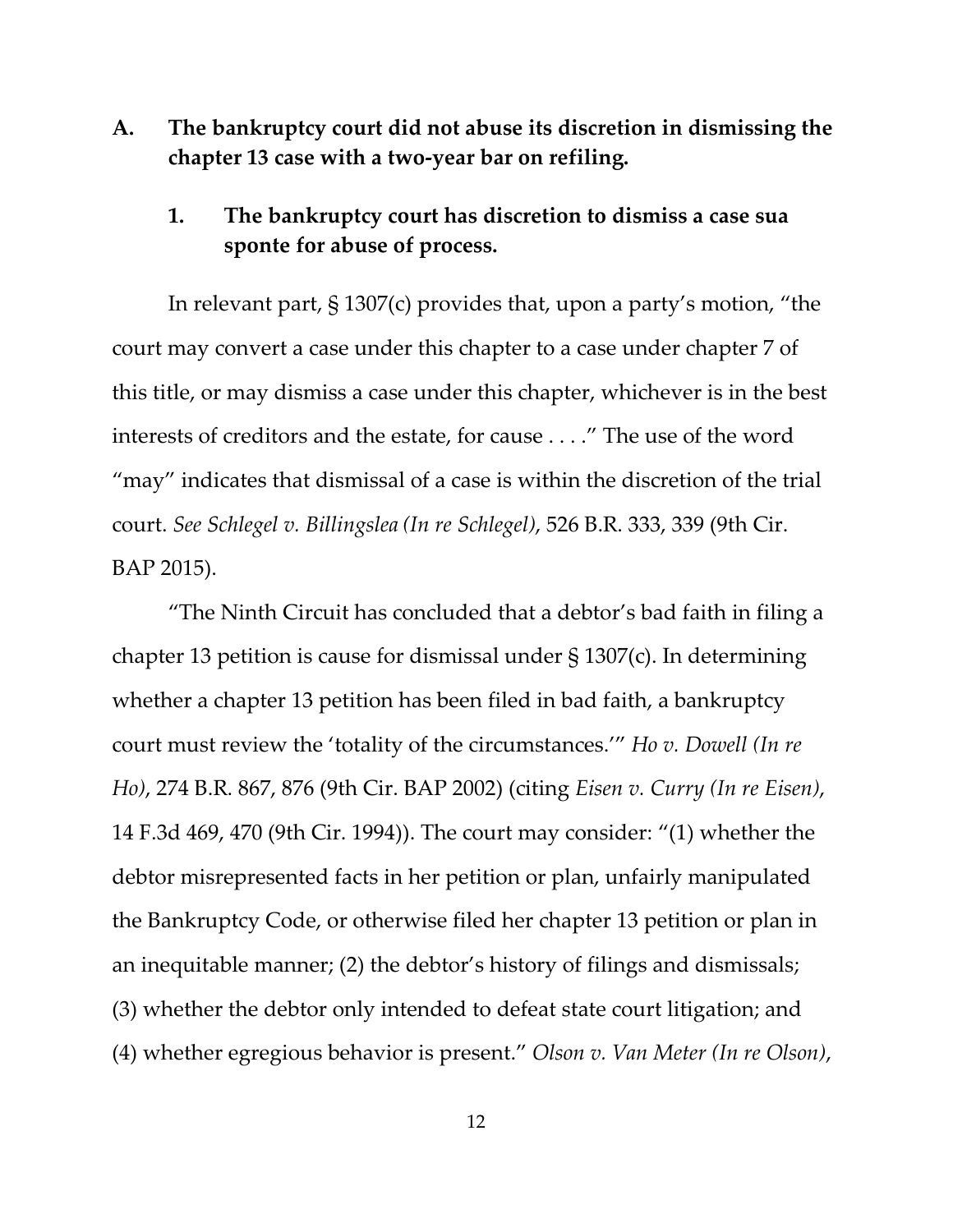**A. The bankruptcy court did not abuse its discretion in dismissing the chapter 13 case with a two-year bar on refiling.**

## **1. The bankruptcy court has discretion to dismiss a case sua sponte for abuse of process.**

In relevant part, § 1307(c) provides that, upon a party's motion, "the court may convert a case under this chapter to a case under chapter 7 of this title, or may dismiss a case under this chapter, whichever is in the best interests of creditors and the estate, for cause . . . ." The use of the word "may" indicates that dismissal of a case is within the discretion of the trial court. *See Schlegel v. Billingslea (In re Schlegel)*, 526 B.R. 333, 339 (9th Cir. BAP 2015).

"The Ninth Circuit has concluded that a debtor's bad faith in filing a chapter 13 petition is cause for dismissal under § 1307(c). In determining whether a chapter 13 petition has been filed in bad faith, a bankruptcy court must review the 'totality of the circumstances.'" *Ho v. Dowell (In re Ho)*, 274 B.R. 867, 876 (9th Cir. BAP 2002) (citing *Eisen v. Curry (In re Eisen)*, 14 F.3d 469, 470 (9th Cir. 1994)). The court may consider: "(1) whether the debtor misrepresented facts in her petition or plan, unfairly manipulated the Bankruptcy Code, or otherwise filed her chapter 13 petition or plan in an inequitable manner; (2) the debtor's history of filings and dismissals; (3) whether the debtor only intended to defeat state court litigation; and (4) whether egregious behavior is present." *Olson v. Van Meter (In re Olson)*,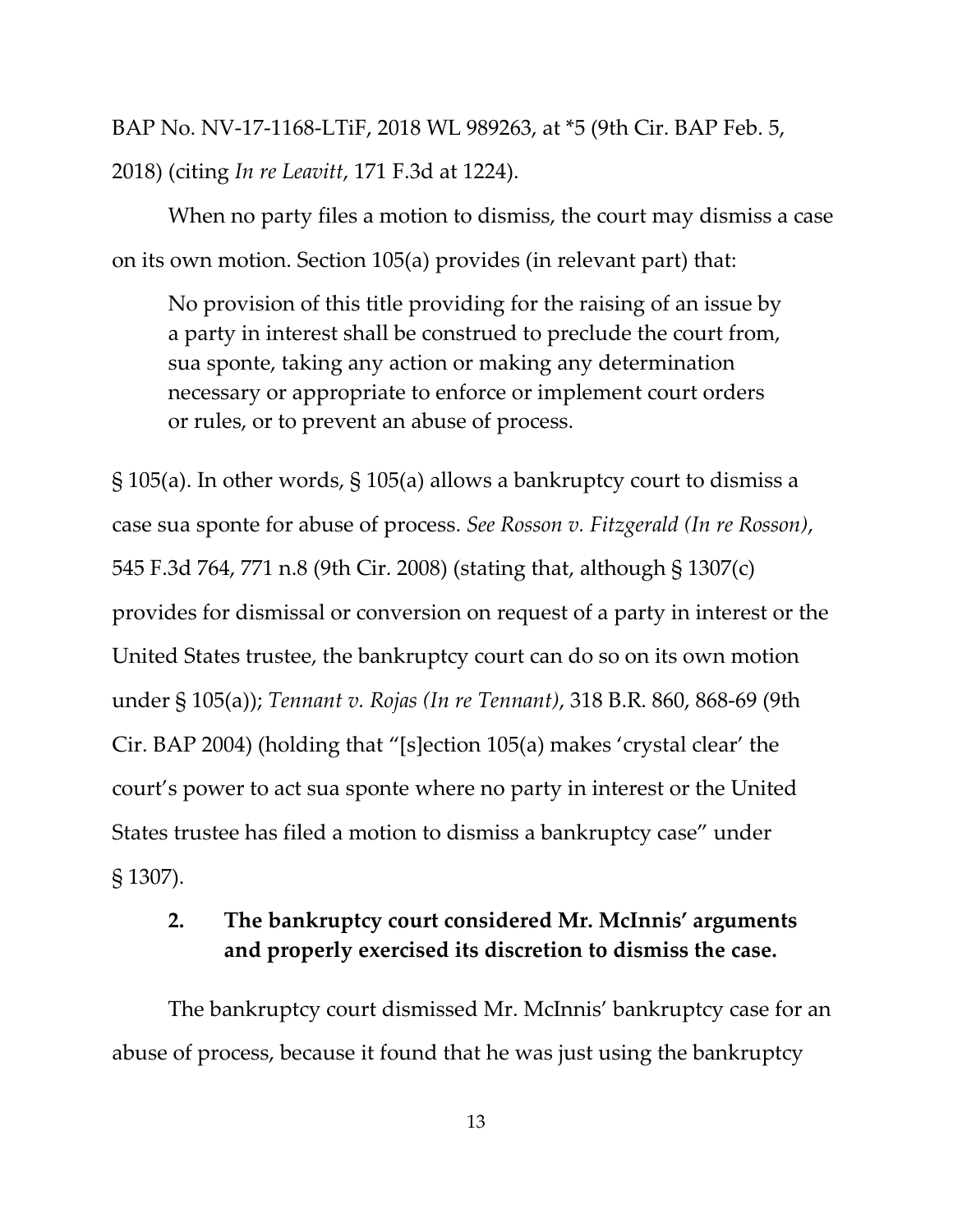BAP No. NV-17-1168-LTiF, 2018 WL 989263, at \*5 (9th Cir. BAP Feb. 5, 2018) (citing *In re Leavitt*, 171 F.3d at 1224).

When no party files a motion to dismiss, the court may dismiss a case on its own motion. Section 105(a) provides (in relevant part) that:

No provision of this title providing for the raising of an issue by a party in interest shall be construed to preclude the court from, sua sponte, taking any action or making any determination necessary or appropriate to enforce or implement court orders or rules, or to prevent an abuse of process.

§ 105(a). In other words, § 105(a) allows a bankruptcy court to dismiss a case sua sponte for abuse of process. *See Rosson v. Fitzgerald (In re Rosson)*, 545 F.3d 764, 771 n.8 (9th Cir. 2008) (stating that, although § 1307(c) provides for dismissal or conversion on request of a party in interest or the United States trustee, the bankruptcy court can do so on its own motion under § 105(a)); *Tennant v. Rojas (In re Tennant)*, 318 B.R. 860, 868-69 (9th Cir. BAP 2004) (holding that "[s]ection 105(a) makes 'crystal clear' the court's power to act sua sponte where no party in interest or the United States trustee has filed a motion to dismiss a bankruptcy case" under § 1307).

## **2. The bankruptcy court considered Mr. McInnis' arguments and properly exercised its discretion to dismiss the case.**

The bankruptcy court dismissed Mr. McInnis' bankruptcy case for an abuse of process, because it found that he was just using the bankruptcy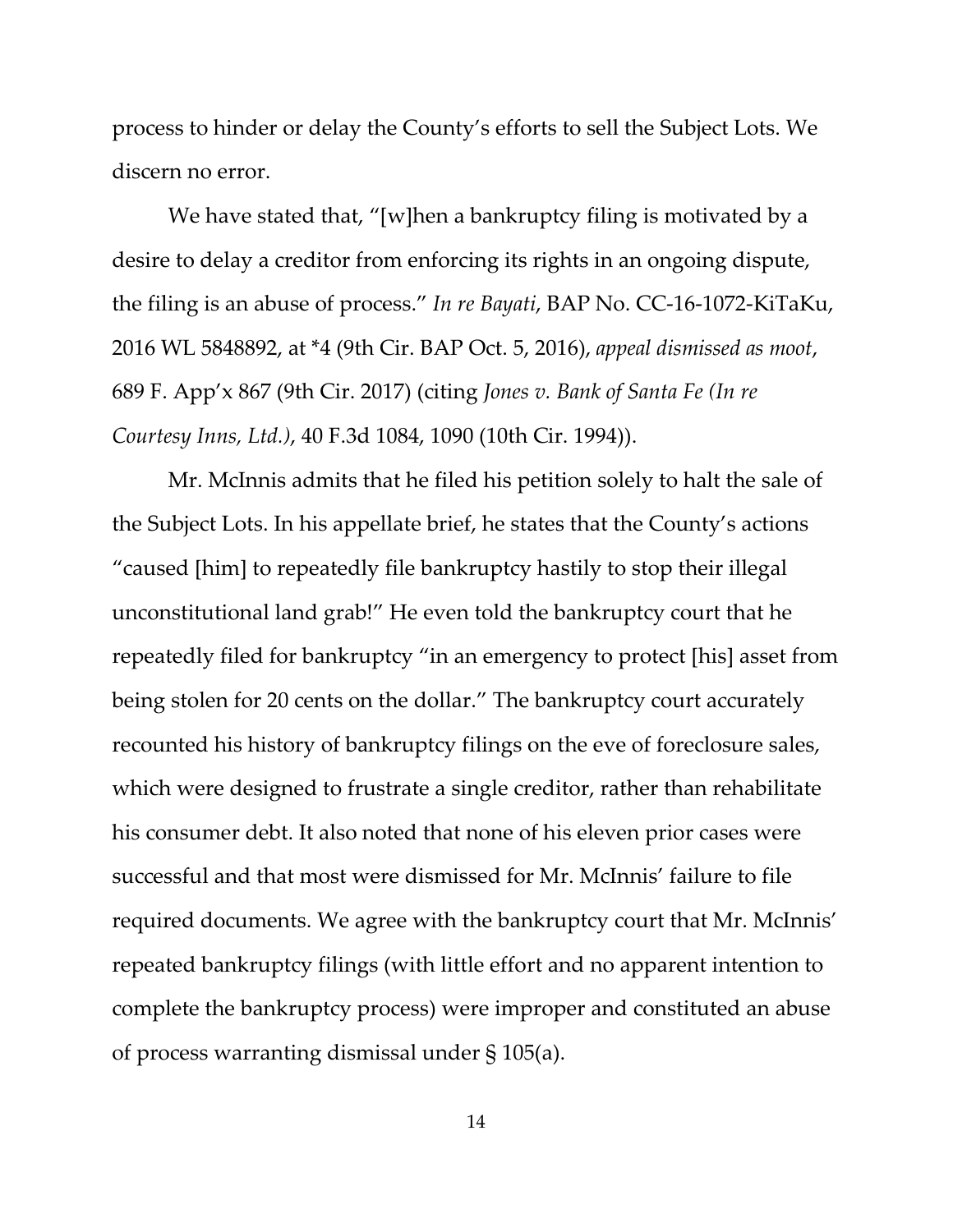process to hinder or delay the County's efforts to sell the Subject Lots. We discern no error.

We have stated that, "[w]hen a bankruptcy filing is motivated by a desire to delay a creditor from enforcing its rights in an ongoing dispute, the filing is an abuse of process." *In re Bayati*, BAP No. CC-16-1072-KiTaKu, 2016 WL 5848892, at \*4 (9th Cir. BAP Oct. 5, 2016), *appeal dismissed as moot*, 689 F. App'x 867 (9th Cir. 2017) (citing *Jones v. Bank of Santa Fe (In re Courtesy Inns, Ltd.)*, 40 F.3d 1084, 1090 (10th Cir. 1994)).

Mr. McInnis admits that he filed his petition solely to halt the sale of the Subject Lots. In his appellate brief, he states that the County's actions "caused [him] to repeatedly file bankruptcy hastily to stop their illegal unconstitutional land grab!" He even told the bankruptcy court that he repeatedly filed for bankruptcy "in an emergency to protect [his] asset from being stolen for 20 cents on the dollar." The bankruptcy court accurately recounted his history of bankruptcy filings on the eve of foreclosure sales, which were designed to frustrate a single creditor, rather than rehabilitate his consumer debt. It also noted that none of his eleven prior cases were successful and that most were dismissed for Mr. McInnis' failure to file required documents. We agree with the bankruptcy court that Mr. McInnis' repeated bankruptcy filings (with little effort and no apparent intention to complete the bankruptcy process) were improper and constituted an abuse of process warranting dismissal under § 105(a).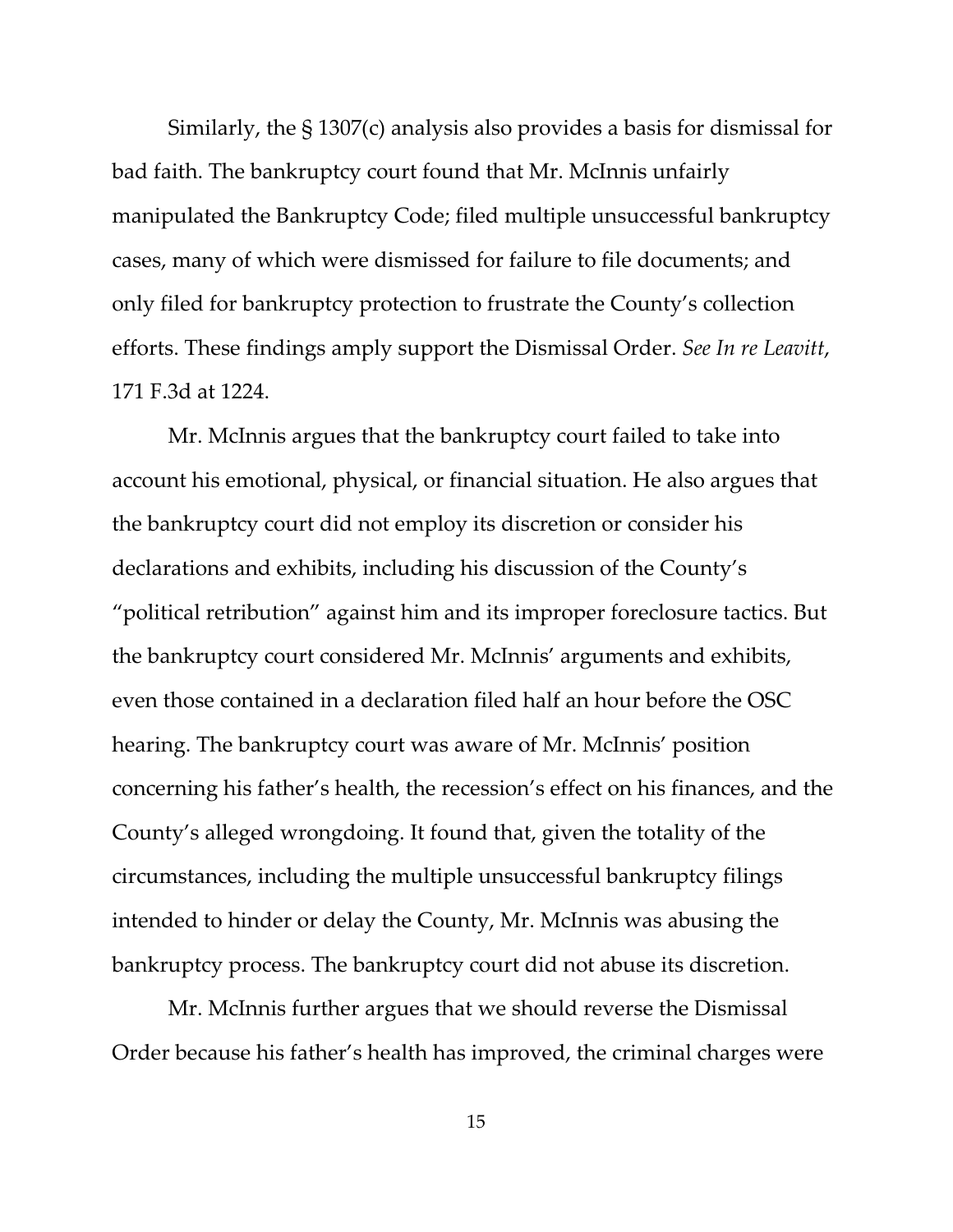Similarly, the § 1307(c) analysis also provides a basis for dismissal for bad faith. The bankruptcy court found that Mr. McInnis unfairly manipulated the Bankruptcy Code; filed multiple unsuccessful bankruptcy cases, many of which were dismissed for failure to file documents; and only filed for bankruptcy protection to frustrate the County's collection efforts. These findings amply support the Dismissal Order. *See In re Leavitt*, 171 F.3d at 1224.

Mr. McInnis argues that the bankruptcy court failed to take into account his emotional, physical, or financial situation. He also argues that the bankruptcy court did not employ its discretion or consider his declarations and exhibits, including his discussion of the County's "political retribution" against him and its improper foreclosure tactics. But the bankruptcy court considered Mr. McInnis' arguments and exhibits, even those contained in a declaration filed half an hour before the OSC hearing. The bankruptcy court was aware of Mr. McInnis' position concerning his father's health, the recession's effect on his finances, and the County's alleged wrongdoing. It found that, given the totality of the circumstances, including the multiple unsuccessful bankruptcy filings intended to hinder or delay the County, Mr. McInnis was abusing the bankruptcy process. The bankruptcy court did not abuse its discretion.

Mr. McInnis further argues that we should reverse the Dismissal Order because his father's health has improved, the criminal charges were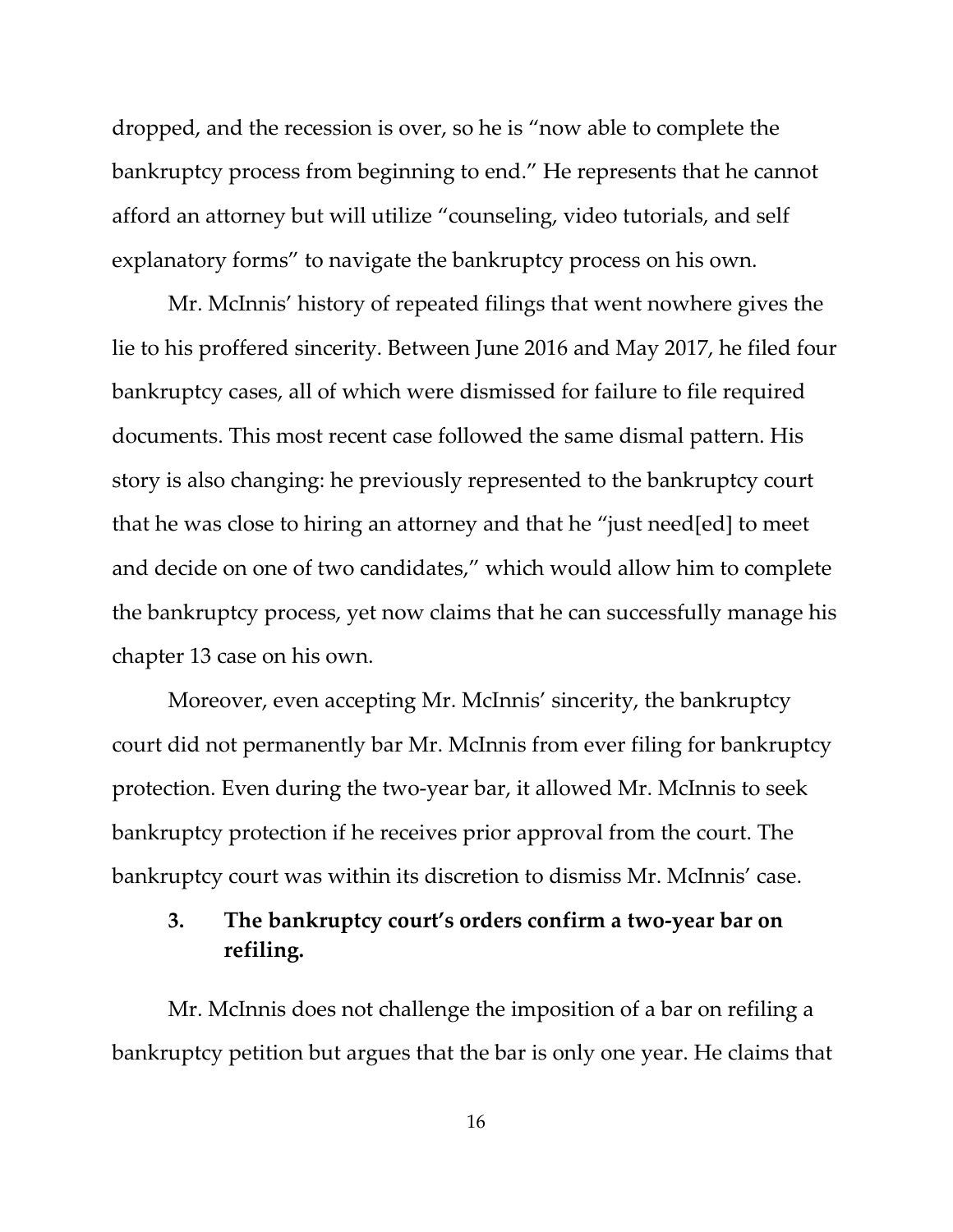dropped, and the recession is over, so he is "now able to complete the bankruptcy process from beginning to end." He represents that he cannot afford an attorney but will utilize "counseling, video tutorials, and self explanatory forms" to navigate the bankruptcy process on his own.

Mr. McInnis' history of repeated filings that went nowhere gives the lie to his proffered sincerity. Between June 2016 and May 2017, he filed four bankruptcy cases, all of which were dismissed for failure to file required documents. This most recent case followed the same dismal pattern. His story is also changing: he previously represented to the bankruptcy court that he was close to hiring an attorney and that he "just need[ed] to meet and decide on one of two candidates," which would allow him to complete the bankruptcy process, yet now claims that he can successfully manage his chapter 13 case on his own.

Moreover, even accepting Mr. McInnis' sincerity, the bankruptcy court did not permanently bar Mr. McInnis from ever filing for bankruptcy protection. Even during the two-year bar, it allowed Mr. McInnis to seek bankruptcy protection if he receives prior approval from the court. The bankruptcy court was within its discretion to dismiss Mr. McInnis' case.

## **3. The bankruptcy court's orders confirm a two-year bar on refiling.**

Mr. McInnis does not challenge the imposition of a bar on refiling a bankruptcy petition but argues that the bar is only one year. He claims that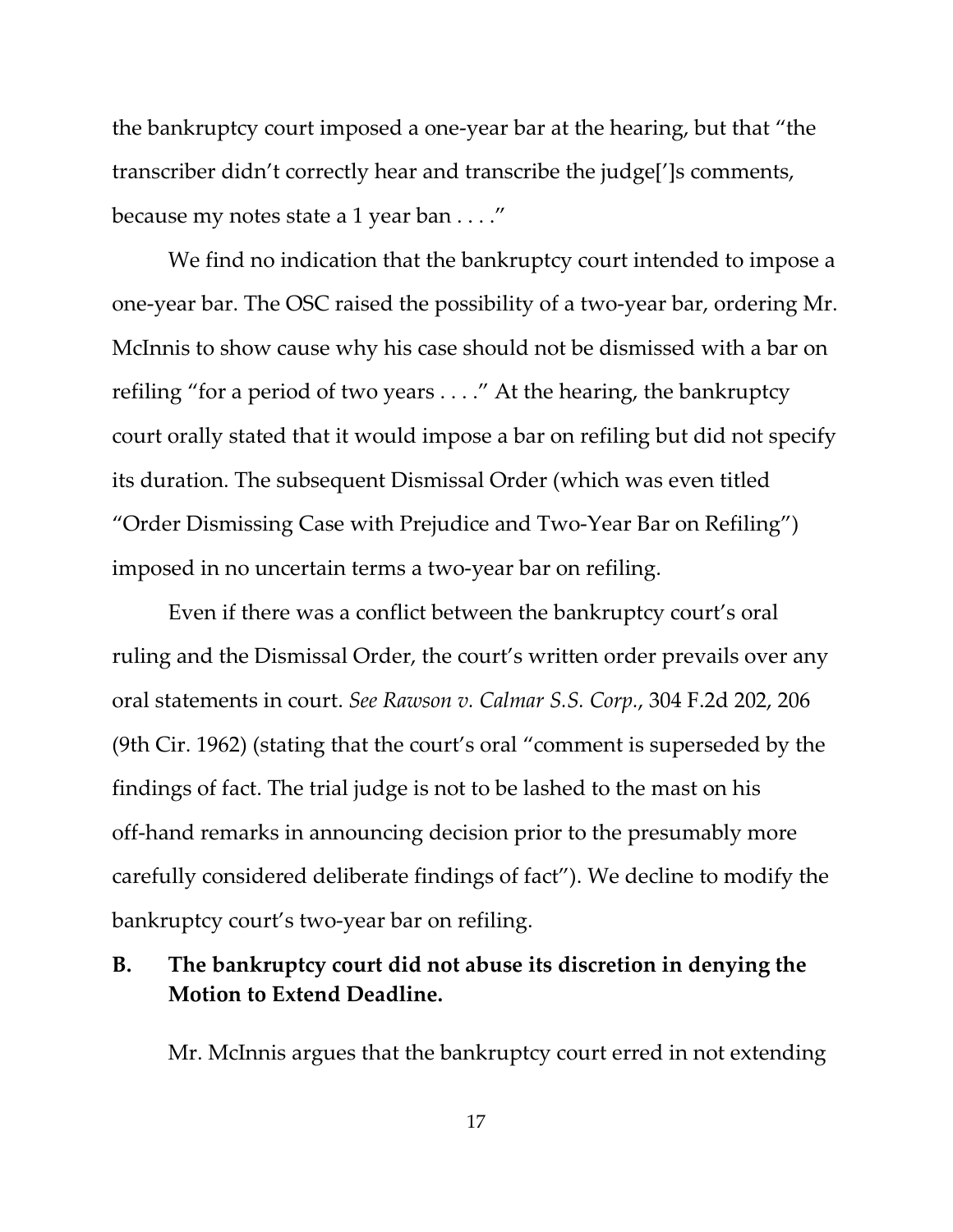the bankruptcy court imposed a one-year bar at the hearing, but that "the transcriber didn't correctly hear and transcribe the judge[']s comments, because my notes state a 1 year ban . . . ."

We find no indication that the bankruptcy court intended to impose a one-year bar. The OSC raised the possibility of a two-year bar, ordering Mr. McInnis to show cause why his case should not be dismissed with a bar on refiling "for a period of two years . . . ." At the hearing, the bankruptcy court orally stated that it would impose a bar on refiling but did not specify its duration. The subsequent Dismissal Order (which was even titled "Order Dismissing Case with Prejudice and Two-Year Bar on Refiling") imposed in no uncertain terms a two-year bar on refiling.

Even if there was a conflict between the bankruptcy court's oral ruling and the Dismissal Order, the court's written order prevails over any oral statements in court. *See Rawson v. Calmar S.S. Corp.*, 304 F.2d 202, 206 (9th Cir. 1962) (stating that the court's oral "comment is superseded by the findings of fact. The trial judge is not to be lashed to the mast on his off-hand remarks in announcing decision prior to the presumably more carefully considered deliberate findings of fact"). We decline to modify the bankruptcy court's two-year bar on refiling.

## **B. The bankruptcy court did not abuse its discretion in denying the Motion to Extend Deadline.**

Mr. McInnis argues that the bankruptcy court erred in not extending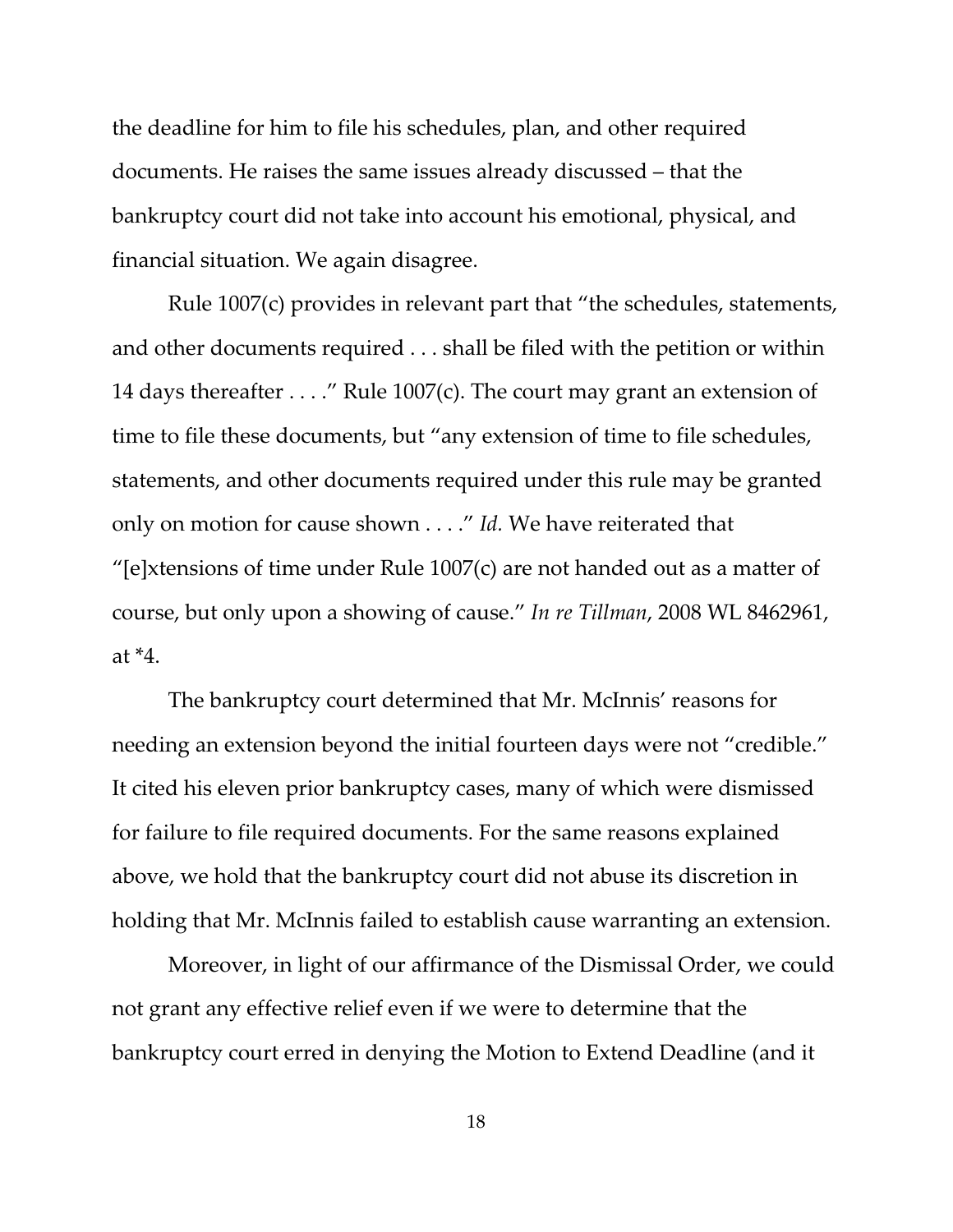the deadline for him to file his schedules, plan, and other required documents. He raises the same issues already discussed – that the bankruptcy court did not take into account his emotional, physical, and financial situation. We again disagree.

Rule 1007(c) provides in relevant part that "the schedules, statements, and other documents required . . . shall be filed with the petition or within 14 days thereafter . . . ." Rule 1007(c). The court may grant an extension of time to file these documents, but "any extension of time to file schedules, statements, and other documents required under this rule may be granted only on motion for cause shown . . . ." *Id.* We have reiterated that "[e]xtensions of time under Rule 1007(c) are not handed out as a matter of course, but only upon a showing of cause." *In re Tillman*, 2008 WL 8462961, at  $*4$ .

The bankruptcy court determined that Mr. McInnis' reasons for needing an extension beyond the initial fourteen days were not "credible." It cited his eleven prior bankruptcy cases, many of which were dismissed for failure to file required documents. For the same reasons explained above, we hold that the bankruptcy court did not abuse its discretion in holding that Mr. McInnis failed to establish cause warranting an extension.

Moreover, in light of our affirmance of the Dismissal Order, we could not grant any effective relief even if we were to determine that the bankruptcy court erred in denying the Motion to Extend Deadline (and it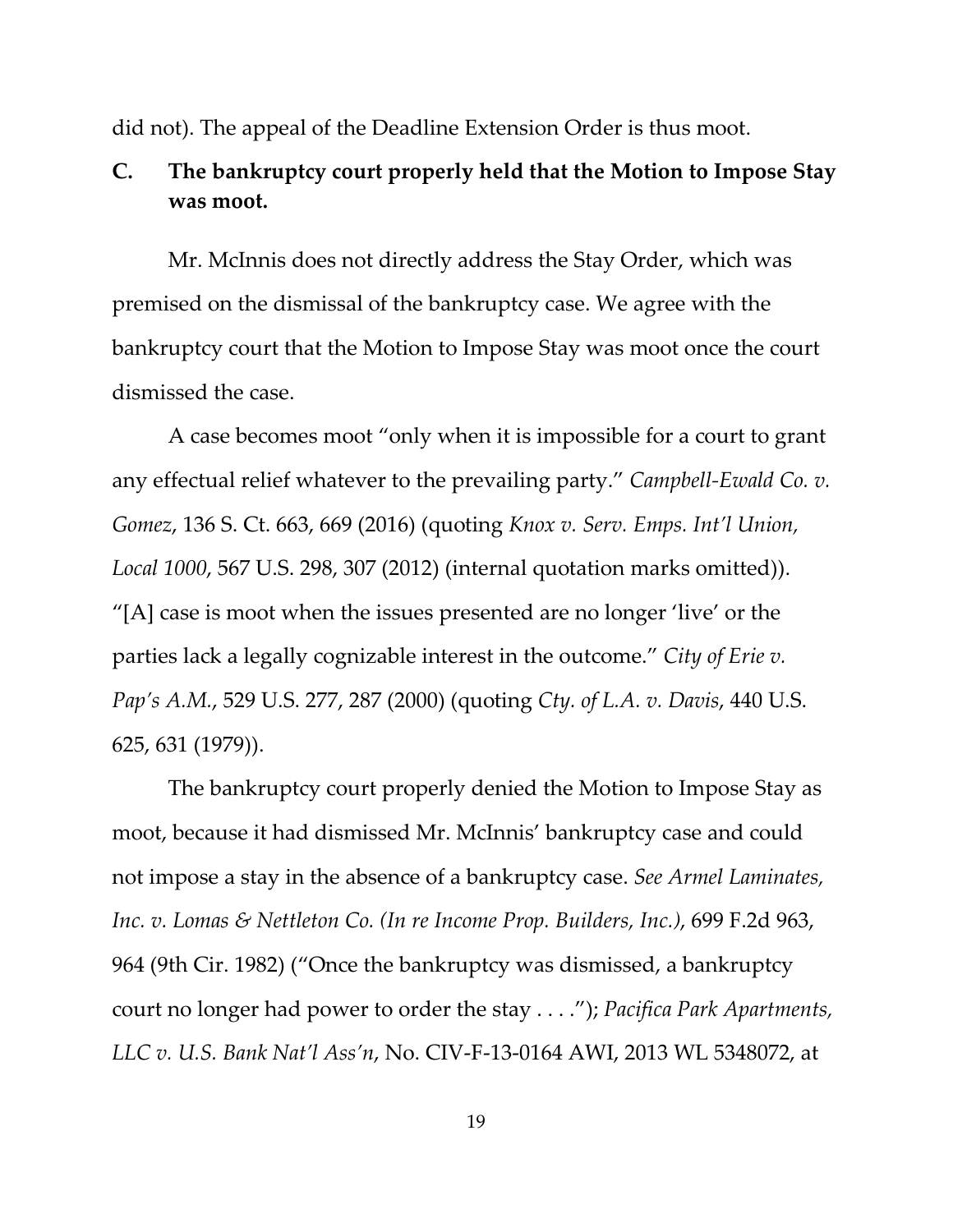did not). The appeal of the Deadline Extension Order is thus moot.

# **C. The bankruptcy court properly held that the Motion to Impose Stay was moot.**

Mr. McInnis does not directly address the Stay Order, which was premised on the dismissal of the bankruptcy case. We agree with the bankruptcy court that the Motion to Impose Stay was moot once the court dismissed the case.

A case becomes moot "only when it is impossible for a court to grant any effectual relief whatever to the prevailing party." *Campbell-Ewald Co. v. Gomez*, 136 S. Ct. 663, 669 (2016) (quoting *Knox v. Serv. Emps. Int'l Union, Local 1000*, 567 U.S. 298, 307 (2012) (internal quotation marks omitted)).  $\textdegree$ [A] case is moot when the issues presented are no longer 'live' or the parties lack a legally cognizable interest in the outcome." *City of Erie v. Pap's A.M.*, 529 U.S. 277, 287 (2000) (quoting *Cty. of L.A. v. Davis*, 440 U.S. 625, 631 (1979)).

The bankruptcy court properly denied the Motion to Impose Stay as moot, because it had dismissed Mr. McInnis' bankruptcy case and could not impose a stay in the absence of a bankruptcy case. *See Armel Laminates, Inc. v. Lomas & Nettleton Co. (In re Income Prop. Builders, Inc.)*, 699 F.2d 963, 964 (9th Cir. 1982) ("Once the bankruptcy was dismissed, a bankruptcy court no longer had power to order the stay . . . ."); *Pacifica Park Apartments, LLC v. U.S. Bank Nat'l Ass'n*, No. CIV-F-13-0164 AWI, 2013 WL 5348072, at